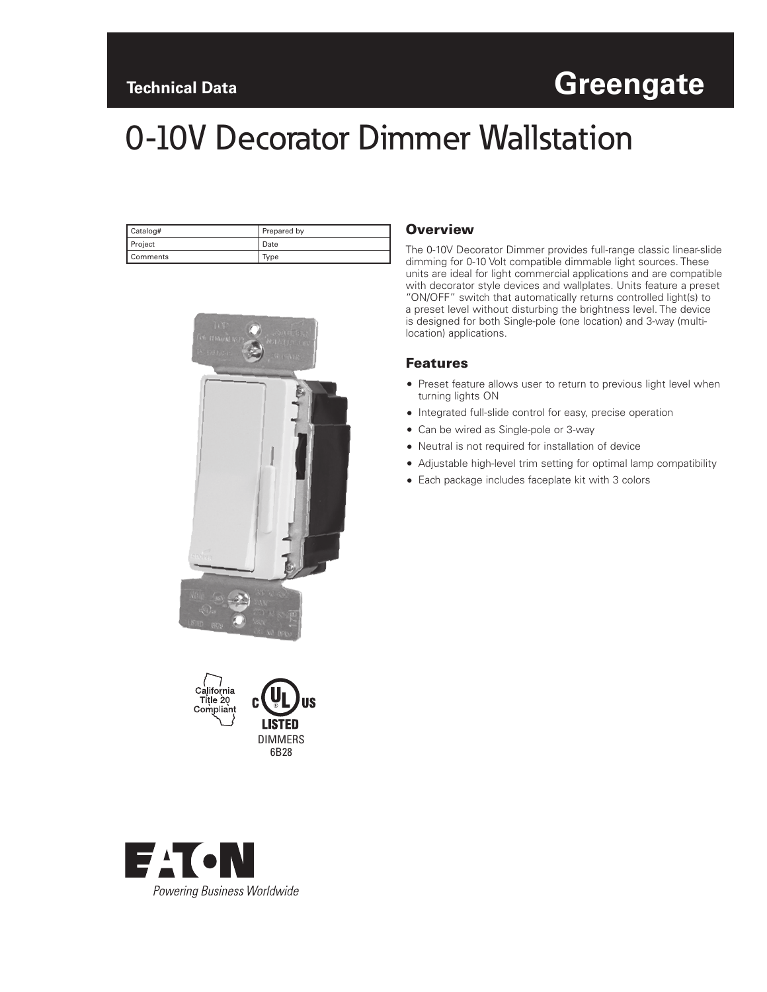# **Technical Data Greengate**

# 0-10V Decorator Dimmer Wallstation

| Catalog#       | Prepared by |
|----------------|-------------|
| <b>Project</b> | Date        |
| Comments       | lype        |





JS



The 0-10V Decorator Dimmer provides full-range classic linear-slide dimming for 0-10 Volt compatible dimmable light sources. These units are ideal for light commercial applications and are compatible with decorator style devices and wallplates. Units feature a preset "ON/OFF" switch that automatically returns controlled light(s) to a preset level without disturbing the brightness level. The device is designed for both Single-pole (one location) and 3-way (multilocation) applications.

#### Features

- Preset feature allows user to return to previous light level when turning lights ON
- Integrated full-slide control for easy, precise operation
- Can be wired as Single-pole or 3-way
- Neutral is not required for installation of device
- Adjustable high-level trim setting for optimal lamp compatibility
- Each package includes faceplate kit with 3 colors

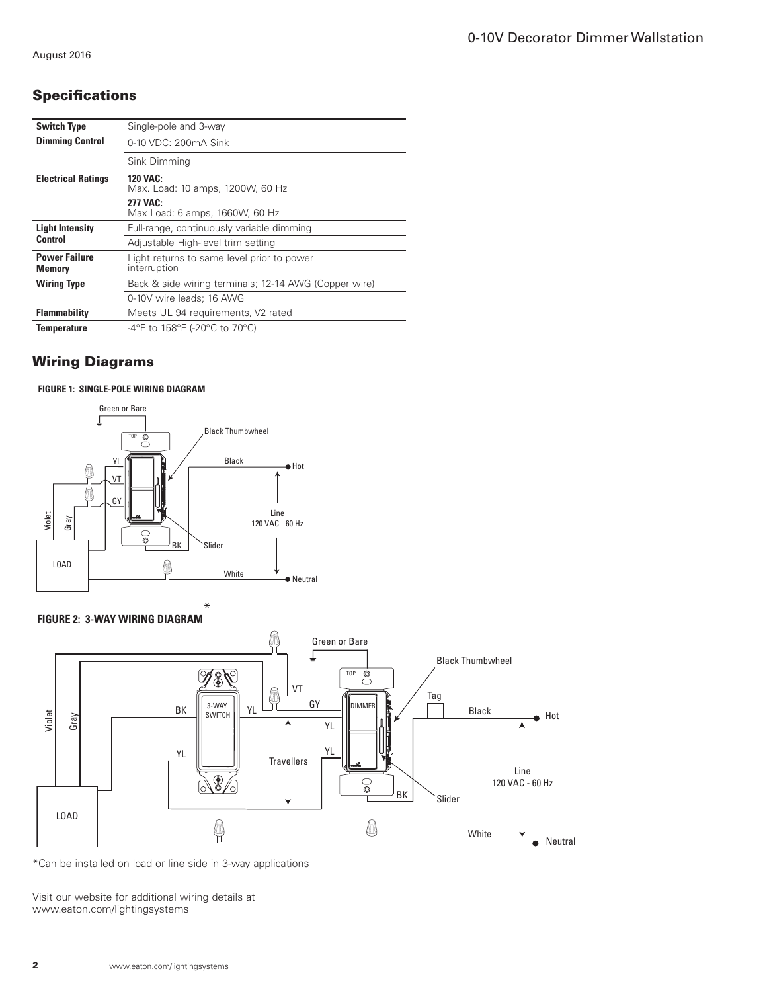# **Specifications**

| <b>Switch Type</b>                    | Single-pole and 3-way                                      |
|---------------------------------------|------------------------------------------------------------|
| <b>Dimming Control</b>                | 0-10 VDC: 200mA Sink                                       |
|                                       | Sink Dimming                                               |
| <b>Electrical Ratings</b>             | <b>120 VAC:</b><br>Max. Load: 10 amps, 1200W, 60 Hz        |
|                                       | 277 VAC:<br>Max Load: 6 amps, 1660W, 60 Hz                 |
| <b>Light Intensity</b><br>Control     | Full-range, continuously variable dimming                  |
|                                       | Adjustable High-level trim setting                         |
| <b>Power Failure</b><br><b>Memory</b> | Light returns to same level prior to power<br>interruption |
| <b>Wiring Type</b>                    | Back & side wiring terminals; 12-14 AWG (Copper wire)      |
|                                       | 0-10V wire leads; 16 AWG                                   |
| <b>Flammability</b>                   | Meets UL 94 requirements, V2 rated                         |
| Temperature                           | -4°F to 158°F (-20°C to 70°C)                              |

## Wiring Diagrams

#### **FIGURE 1: SINGLE-POLE WIRING DIAGRAM**



#### **FIGURE 2: 3-WAY WIRING DIAGRAM**



\*Can be installed on load or line side in 3-way applications

Visit our website for additional wiring details at www.eaton.com/lightingsystems